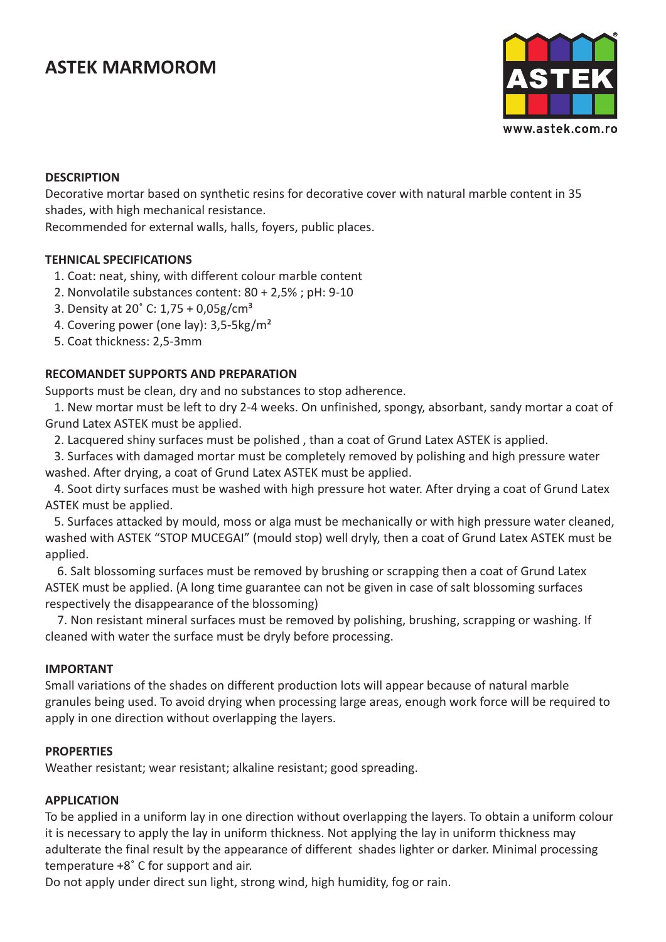# **ASTEK MARMOROM**



## **DESCRIPTION**

Decorative mortar based on synthetic resins for decorative cover with natural marble content in 35 shades, with high mechanical resistance.

Recommended for external walls, halls, foyers, public places.

## **TEHNICAL SPECIFICATIONS**

- 1. Coat: neat, shiny, with different colour marble content
- 2. Nonvolatile substances content: 80 + 2,5% ; pH: 9-10
- 3. Density at 20 $^{\circ}$  C: 1,75 + 0,05g/cm<sup>3</sup>
- 4. Covering power (one lay): 3,5-5kg/m²
- 5. Coat thickness: 2,5-3mm

## **RECOMANDET SUPPORTS AND PREPARATION**

Supports must be clean, dry and no substances to stop adherence.

 1. New mortar must be left to dry 2-4 weeks. On unfinished, spongy, absorbant, sandy mortar a coat of Grund Latex ASTEK must be applied.

2. Lacquered shiny surfaces must be polished , than a coat of Grund Latex ASTEK is applied.

 3. Surfaces with damaged mortar must be completely removed by polishing and high pressure water washed. After drying, a coat of Grund Latex ASTEK must be applied.

 4. Soot dirty surfaces must be washed with high pressure hot water. After drying a coat of Grund Latex ASTEK must be applied.

 5. Surfaces attacked by mould, moss or alga must be mechanically or with high pressure water cleaned, washed with ASTEK "STOP MUCEGAI" (mould stop) well dryly, then a coat of Grund Latex ASTEK must be applied.

 6. Salt blossoming surfaces must be removed by brushing or scrapping then a coat of Grund Latex ASTEK must be applied. (A long time guarantee can not be given in case of salt blossoming surfaces respectively the disappearance of the blossoming)

 7. Non resistant mineral surfaces must be removed by polishing, brushing, scrapping or washing. If cleaned with water the surface must be dryly before processing.

#### **IMPORTANT**

Small variations of the shades on different production lots will appear because of natural marble granules being used. To avoid drying when processing large areas, enough work force will be required to apply in one direction without overlapping the layers.

#### **PROPERTIES**

Weather resistant; wear resistant; alkaline resistant; good spreading.

#### **APPLICATION**

To be applied in a uniform lay in one direction without overlapping the layers. To obtain a uniform colour it is necessary to apply the lay in uniform thickness. Not applying the lay in uniform thickness may adulterate the final result by the appearance of different shades lighter or darker. Minimal processing temperature +8° C for support and air.

Do not apply under direct sun light, strong wind, high humidity, fog or rain.